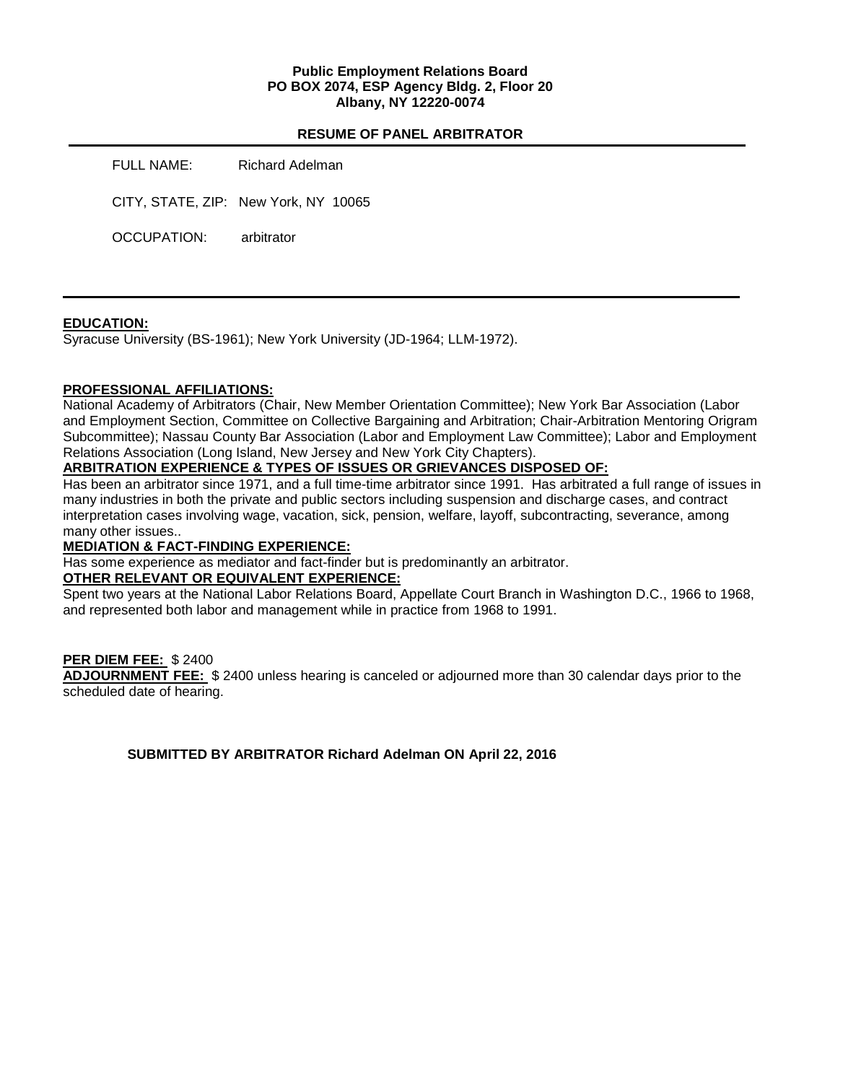### **Public Employment Relations Board PO BOX 2074, ESP Agency Bldg. 2, Floor 20 Albany, NY 12220-0074**

#### **RESUME OF PANEL ARBITRATOR**

FULL NAME: Richard Adelman CITY, STATE, ZIP: New York, NY 10065 OCCUPATION: arbitrator

### **EDUCATION:**

Syracuse University (BS-1961); New York University (JD-1964; LLM-1972).

### **PROFESSIONAL AFFILIATIONS:**

National Academy of Arbitrators (Chair, New Member Orientation Committee); New York Bar Association (Labor and Employment Section, Committee on Collective Bargaining and Arbitration; Chair-Arbitration Mentoring Origram Subcommittee); Nassau County Bar Association (Labor and Employment Law Committee); Labor and Employment Relations Association (Long Island, New Jersey and New York City Chapters).

## **ARBITRATION EXPERIENCE & TYPES OF ISSUES OR GRIEVANCES DISPOSED OF:**

Has been an arbitrator since 1971, and a full time-time arbitrator since 1991. Has arbitrated a full range of issues in many industries in both the private and public sectors including suspension and discharge cases, and contract interpretation cases involving wage, vacation, sick, pension, welfare, layoff, subcontracting, severance, among many other issues..

### **MEDIATION & FACT-FINDING EXPERIENCE:**

Has some experience as mediator and fact-finder but is predominantly an arbitrator.

### **OTHER RELEVANT OR EQUIVALENT EXPERIENCE:**

Spent two years at the National Labor Relations Board, Appellate Court Branch in Washington D.C., 1966 to 1968, and represented both labor and management while in practice from 1968 to 1991.

### **PER DIEM FEE:** \$ 2400

**ADJOURNMENT FEE:** \$ 2400 unless hearing is canceled or adjourned more than 30 calendar days prior to the scheduled date of hearing.

**SUBMITTED BY ARBITRATOR Richard Adelman ON April 22, 2016**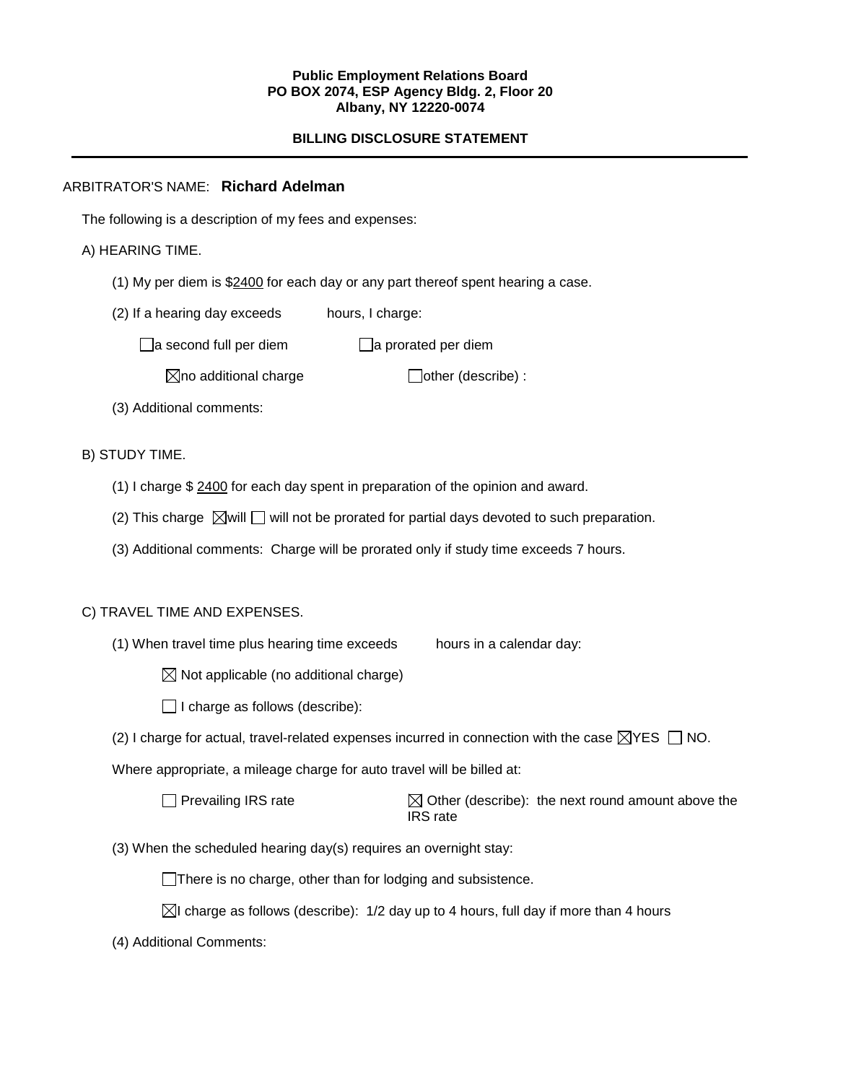### **Public Employment Relations Board PO BOX 2074, ESP Agency Bldg. 2, Floor 20 Albany, NY 12220-0074**

# **BILLING DISCLOSURE STATEMENT**

# ARBITRATOR'S NAME: **Richard Adelman**

The following is a description of my fees and expenses:

## A) HEARING TIME.

- (1) My per diem is \$2400 for each day or any part thereof spent hearing a case.
- (2) If a hearing day exceeds hours, I charge:

 $\Box$ a second full per diem  $\Box$ a prorated per diem

 $\boxtimes$ no additional charge  $\Box$ other (describe) :

(3) Additional comments:

# B) STUDY TIME.

- (1) I charge \$ 2400 for each day spent in preparation of the opinion and award.
- (2) This charge  $\boxtimes$  will  $\Box$  will not be prorated for partial days devoted to such preparation.
- (3) Additional comments: Charge will be prorated only if study time exceeds 7 hours.

# C) TRAVEL TIME AND EXPENSES.

(1) When travel time plus hearing time exceeds hours in a calendar day:

 $\boxtimes$  Not applicable (no additional charge)

 $\Box$  I charge as follows (describe):

(2) I charge for actual, travel-related expenses incurred in connection with the case  $\boxtimes$ YES  $\Box$  NO.

Where appropriate, a mileage charge for auto travel will be billed at:

 $\Box$  Prevailing IRS rate  $\Box$  Other (describe): the next round amount above the IRS rate

(3) When the scheduled hearing day(s) requires an overnight stay:

There is no charge, other than for lodging and subsistence.

- $\boxtimes$  charge as follows (describe): 1/2 day up to 4 hours, full day if more than 4 hours
- (4) Additional Comments: